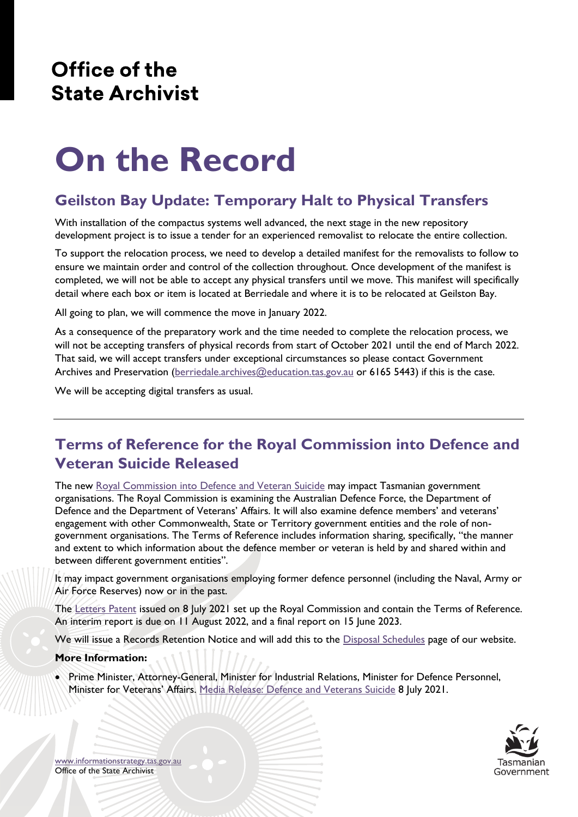## Office of the **State Archivist**

# **On the Record**

## **Geilston Bay Update: Temporary Halt to Physical Transfers**

With installation of the compactus systems well advanced, the next stage in the new repository development project is to issue a tender for an experienced removalist to relocate the entire collection.

To support the relocation process, we need to develop a detailed manifest for the removalists to follow to ensure we maintain order and control of the collection throughout. Once development of the manifest is completed, we will not be able to accept any physical transfers until we move. This manifest will specifically detail where each box or item is located at Berriedale and where it is to be relocated at Geilston Bay.

All going to plan, we will commence the move in January 2022.

As a consequence of the preparatory work and the time needed to complete the relocation process, we will not be accepting transfers of physical records from start of October 2021 until the end of March 2022. That said, we will accept transfers under exceptional circumstances so please contact Government Archives and Preservation [\(berriedale.archives@education.tas.gov.au](mailto:berriedale.archives@education.tas.gov.au) or 6165 5443) if this is the case.

We will be accepting digital transfers as usual.

## **Terms of Reference for the Royal Commission into Defence and Veteran Suicide Released**

The new [Royal Commission into Defence and Veteran Suicide](https://defenceveteransuicide.royalcommission.gov.au/) may impact Tasmanian government organisations. The Royal Commission is examining the Australian Defence Force, the Department of Defence and the Department of Veterans' Affairs. It will also examine defence members' and veterans' engagement with other Commonwealth, State or Territory government entities and the role of nongovernment organisations. The Terms of Reference includes information sharing, specifically, "the manner and extent to which information about the defence member or veteran is held by and shared within and between different government entities".

It may impact government organisations employing former defence personnel (including the Naval, Army or Air Force Reserves) now or in the past.

The [Letters Patent](https://defenceveteransuicide.royalcommission.gov.au/publications/letters-patent) issued on 8 July 2021 set up the Royal Commission and contain the Terms of Reference. An interim report is due on 11 August 2022, and a final report on 15 June 2023.

We will issue a Records Retention Notice and will add this to the [Disposal Schedules](https://www.informationstrategy.tas.gov.au/Publications/Pages/RDS-List.aspx) page of our website.

#### **More Information:**

• Prime Minister, Attorney-General, Minister for Industrial Relations, Minister for Defence Personnel, Minister for Veterans' Affairs. [Media Release: Defence and Veterans Suicide](https://www.pm.gov.au/media/defence-and-veterans-suicide) 8 July 2021.



[www.informationstrategy.tas.gov.au](http://www.informationstrategy.tas.gov.au/) Office of the State Archivist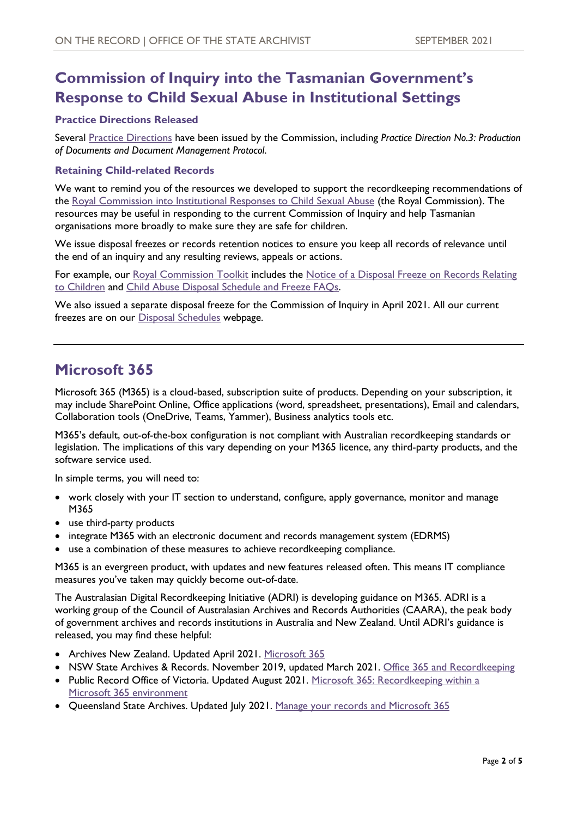## **Commission of Inquiry into the Tasmanian Government's Response to Child Sexual Abuse in Institutional Settings**

#### **Practice Directions Released**

Several [Practice Directions](https://www.commissionofinquiry.tas.gov.au/Document-Library/practice-directions) have been issued by the Commission, including *Practice Direction No.3: Production of Documents and Document Management Protocol*.

#### **Retaining Child-related Records**

We want to remind you of the resources we developed to support the recordkeeping recommendations of the [Royal Commission into Institutional Responses to Child Sexual Abuse](https://www.childabuseroyalcommission.gov.au/) (the Royal Commission). The resources may be useful in responding to the current Commission of Inquiry and help Tasmanian organisations more broadly to make sure they are safe for children.

We issue disposal freezes or records retention notices to ensure you keep all records of relevance until the end of an inquiry and any resulting reviews, appeals or actions.

For example, our [Royal Commission Toolkit](https://www.informationstrategy.tas.gov.au/Resources/Pages/Royal-Commission.aspx) includes the [Notice of a Disposal Freeze on Records Relating](https://www.informationstrategy.tas.gov.au/Resources/Documents/Disposal%20freeze%20for%20records%20relating%20to%20children%20-%20RCIRCSA%20toolkit.pdf)  [to Children](https://www.informationstrategy.tas.gov.au/Resources/Documents/Disposal%20freeze%20for%20records%20relating%20to%20children%20-%20RCIRCSA%20toolkit.pdf) and [Child Abuse Disposal Schedule and Freeze FAQs.](https://www.informationstrategy.tas.gov.au/Resources/Documents/Child%20abuse%20disposal%20schedule%20and%20disposal%20freeze%20FAQ%20-%20RCIRCSA%20toolkit.pdf)

We also issued a separate disposal freeze for the Commission of Inquiry in April 2021. All our current freezes are on our [Disposal Schedules](https://www.informationstrategy.tas.gov.au/Publications/Pages/RDS-List.aspx) webpage.

## **Microsoft 365**

Microsoft 365 (M365) is a cloud-based, subscription suite of products. Depending on your subscription, it may include SharePoint Online, Office applications (word, spreadsheet, presentations), Email and calendars, Collaboration tools (OneDrive, Teams, Yammer), Business analytics tools etc.

M365's default, out-of-the-box configuration is not compliant with Australian recordkeeping standards or legislation. The implications of this vary depending on your M365 licence, any third-party products, and the software service used.

In simple terms, you will need to:

- work closely with your IT section to understand, configure, apply governance, monitor and manage M365
- use third-party products
- integrate M365 with an electronic document and records management system (EDRMS)
- use a combination of these measures to achieve recordkeeping compliance.

M365 is an evergreen product, with updates and new features released often. This means IT compliance measures you've taken may quickly become out-of-date.

The Australasian Digital Recordkeeping Initiative (ADRI) is developing guidance on M365. ADRI is a working group of the Council of Australasian Archives and Records Authorities (CAARA), the peak body of government archives and records institutions in Australia and New Zealand. Until ADRI's guidance is released, you may find these helpful:

- Archives New Zealand. Updated April 2021. [Microsoft 365](https://archives.govt.nz/manage-information/how-to-manage-your-information/digital/microsoft-365)
- NSW State Archives & Records. November 2019, updated March 2021. [Office 365 and Recordkeeping](https://www.records.nsw.gov.au/recordkeeping/office-365-and-recordkeeping)
- Public Record Office of Victoria. Updated August 2021. Microsoft 365: Recordkeeping within a [Microsoft 365 environment](https://prov.vic.gov.au/recordkeeping-government/a-z-topics/microsoft-365)
- Queensland State Archives. Updated July 2021. [Manage your records and Microsoft 365](https://www.forgov.qld.gov.au/information-and-communication-technology/recordkeeping-and-information-management/recordkeeping/manage-specific-record-types-and-activities/manage-your-records-and-microsoft-365)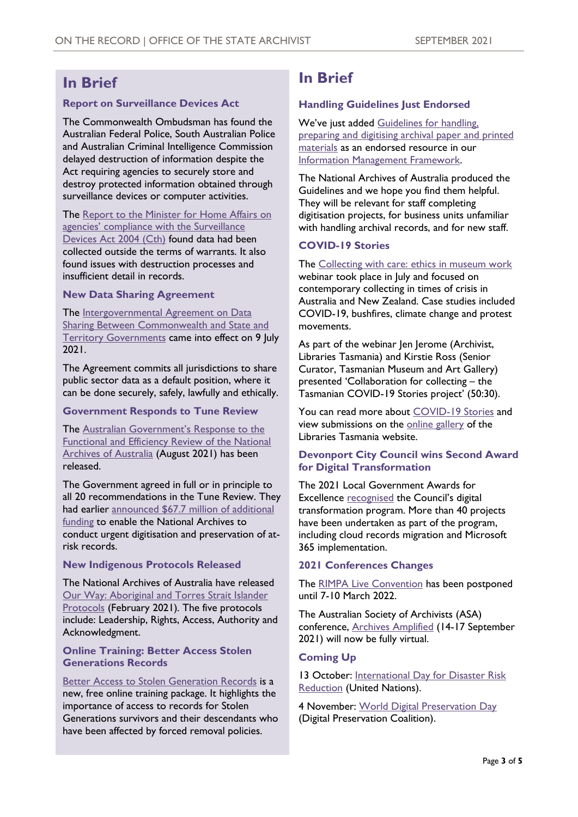## **In Brief**

#### **Report on Surveillance Devices Act**

The Commonwealth Ombudsman has found the Australian Federal Police, South Australian Police and Australian Criminal Intelligence Commission delayed destruction of information despite the Act requiring agencies to securely store and destroy protected information obtained through surveillance devices or computer activities.

The Report to the Minister for Home Affairs on [agencies' compliance with the Surveillance](https://www.ombudsman.gov.au/__data/assets/pdf_file/0020/112556/Surveillance-Devices-Act-2004-Commonwealth-Ombudsmans-report-on-agencies-compliance-1-July-to-31-December-2020-A2154913.pdf)  [Devices Act 2004 \(Cth\)](https://www.ombudsman.gov.au/__data/assets/pdf_file/0020/112556/Surveillance-Devices-Act-2004-Commonwealth-Ombudsmans-report-on-agencies-compliance-1-July-to-31-December-2020-A2154913.pdf) found data had been collected outside the terms of warrants. It also found issues with destruction processes and insufficient detail in records.

#### **New Data Sharing Agreement**

The Intergovernmental Agreement on Data [Sharing Between Commonwealth and State and](https://federation.gov.au/about/agreements/intergovernmental-agreement-data-sharing)  [Territory Governments](https://federation.gov.au/about/agreements/intergovernmental-agreement-data-sharing) came into effect on 9 July 2021.

The Agreement commits all jurisdictions to share public sector data as a default position, where it can be done securely, safely, lawfully and ethically.

#### **Government Responds to Tune Review**

The [Australian Government's Response to the](https://www.ag.gov.au/sites/default/files/2021-08/government-response-to-the-tune-review-august-2021.pdf)  [Functional and Efficiency Review of the National](https://www.ag.gov.au/sites/default/files/2021-08/government-response-to-the-tune-review-august-2021.pdf)  [Archives of Australia](https://www.ag.gov.au/sites/default/files/2021-08/government-response-to-the-tune-review-august-2021.pdf) (August 2021) has been released.

The Government agreed in full or in principle to all 20 recommendations in the Tune Review. They had earlier announced [\\$67.7 million of](https://www.attorneygeneral.gov.au/media/media-releases/677-million-boost-national-archives-1-july-2021) additional [funding](https://www.attorneygeneral.gov.au/media/media-releases/677-million-boost-national-archives-1-july-2021) to enable the National Archives to conduct urgent digitisation and preservation of atrisk records.

#### **New Indigenous Protocols Released**

The National Archives of Australia have released [Our Way: Aboriginal and Torres Strait Islander](https://www2.psnews.com.au/alerts/21.06.06%20ATSI%20Protocols.pdf)  [Protocols](https://www2.psnews.com.au/alerts/21.06.06%20ATSI%20Protocols.pdf) (February 2021)*.* The five protocols include: Leadership, Rights, Access, Authority and Acknowledgment.

#### **Online Training: Better Access Stolen Generations Records**

#### [Better Access to Stolen Generation Records](https://www.archivists.org.au/events/event/better-access-to-stolen-generations-records) is a new, free online training package. It highlights the importance of access to records for Stolen Generations survivors and their descendants who have been affected by forced removal policies.

## **In Brief**

#### **Handling Guidelines Just Endorsed**

We've just added Guidelines for handling, [preparing and digitising archival paper and printed](https://www.naa.gov.au/guidelines-handling-preparing-and-digitising-archival-paper-and-printed-materials)  [materials](https://www.naa.gov.au/guidelines-handling-preparing-and-digitising-archival-paper-and-printed-materials) as an endorsed resource in our [Information Management Framework.](https://www.informationstrategy.tas.gov.au/Government-Information-Strategy)

The National Archives of Australia produced the Guidelines and we hope you find them helpful. They will be relevant for staff completing digitisation projects, for business units unfamiliar with handling archival records, and for new staff.

#### **COVID-19 Stories**

The [Collecting with care: ethics in museum work](https://www.youtube.com/watch?v=9GqjBAp1TkA) webinar took place in July and focused on contemporary collecting in times of crisis in Australia and New Zealand. Case studies included COVID-19, bushfires, climate change and protest movements.

As part of the webinar Jen Jerome (Archivist, Libraries Tasmania) and Kirstie Ross (Senior Curator, Tasmanian Museum and Art Gallery) presented 'Collaboration for collecting – the Tasmanian COVID-19 Stories project' (50:30).

You can read more about [COVID-19 Stories](https://libraries.tas.gov.au/features/Pages/covid-19-stories.aspx) and view submissions on the [online gallery](https://libraries.tas.gov.au/features/Pages/CovidStories.aspx) of the Libraries Tasmania website.

#### **Devonport City Council wins Second Award for Digital Transformation**

The 2021 Local Government Awards for Excellence [recognised](https://www.devonport.tas.gov.au/devonport-wins-second-award-for-digital-transformation/) the Council's digital transformation program. More than 40 projects have been undertaken as part of the program, including cloud records migration and Microsoft 365 implementation.

#### **2021 Conferences Changes**

The [RIMPA Live Convention](https://rimpa.eventsair.com/rimpa-live-2021-convention) has been postponed until 7-10 March 2022.

The Australian Society of Archivists (ASA) conference, [Archives Amplified](https://www.archivists.org.au/associationnews/important-conference-update-2021-archives-amplified-conference-will-be-fully-virtual) (14-17 September 2021) will now be fully virtual.

#### **Coming Up**

13 October: [International Day for Disaster Risk](https://www.unisdr.org/disasterreductionday)  [Reduction](https://www.unisdr.org/disasterreductionday) (United Nations).

4 November: [World Digital Preservation Day](https://www.dpconline.org/events/world-digital-preservation-day) (Digital Preservation Coalition).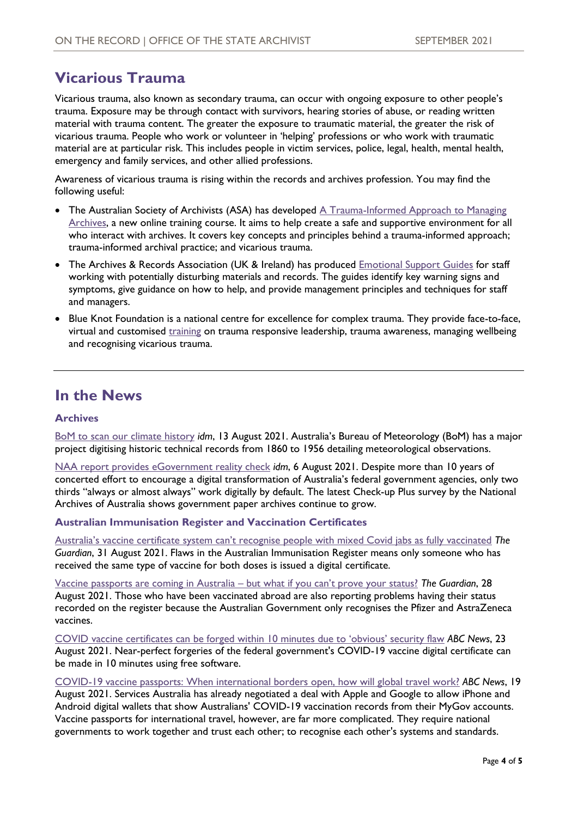## **Vicarious Trauma**

Vicarious trauma, also known as secondary trauma, can occur with ongoing exposure to other people's trauma. Exposure may be through contact with survivors, hearing stories of abuse, or reading written material with trauma content. The greater the exposure to traumatic material, the greater the risk of vicarious trauma. People who work or volunteer in 'helping' professions or who work with traumatic material are at particular risk. This includes people in victim services, police, legal, health, mental health, emergency and family services, and other allied professions.

Awareness of vicarious trauma is rising within the records and archives profession. You may find the following useful:

- The Australian Society of Archivists (ASA) has developed A Trauma-Informed Approach to Managing [Archives,](https://www.archivists.org.au/events/event/a-trauma-informed-approach-to-managing-archives) a new online training course. It aims to help create a safe and supportive environment for all who interact with archives. It covers key concepts and principles behind a trauma-informed approach; trauma-informed archival practice; and vicarious trauma.
- The Archives & Records Association (UK & Ireland) has produced [Emotional Support Guides](https://www.archives.org.uk/what-we-do/emotional-support-guides.html) for staff working with potentially disturbing materials and records. The guides identify key warning signs and symptoms, give guidance on how to help, and provide management principles and techniques for staff and managers.
- Blue Knot Foundation is a national centre for excellence for complex trauma. They provide face-to-face, virtual and customised [training](https://www.blueknot.org.au/Training-Services/Calendar-of-Events) on trauma responsive leadership, trauma awareness, managing wellbeing and recognising vicarious trauma.

### **In the News**

#### **Archives**

[BoM to scan our climate history](https://idm.net.au/article/0013569-bom-scan-our-climate-history) *idm*, 13 August 2021. Australia's Bureau of Meteorology (BoM) has a major project digitising historic technical records from 1860 to 1956 detailing meteorological observations.

[NAA report provides eGovernment reality check](https://idm.net.au/article/0013555-naa-report-provides-egovernment-reality-check) *idm*, 6 August 2021. Despite more than 10 years of concerted effort to encourage a digital transformation of Australia's federal government agencies, only two thirds "always or almost always" work digitally by default. The latest Check-up Plus survey by the National Archives of Australia shows government paper archives continue to grow.

#### **Australian Immunisation Register and Vaccination Certificates**

[Australia's vaccine certificate system can't recognise people with mixed Covid jabs as fully vaccinated](https://www.theguardian.com/society/2021/aug/30/australias-vaccine-certificate-system-cant-recognise-people-with-mixed-covid-jabs-as-fully-vaccinated) *The Guardian*, 31 August 2021. Flaws in the Australian Immunisation Register means only someone who has received the same type of vaccine for both doses is issued a digital certificate.

[Vaccine passports are coming in Australia](https://www.theguardian.com/society/2021/aug/28/vaccine-passports-are-coming-in-australia-but-what-if-you-cant-prove-your-status) – but what if you can't prove your status? *The Guardian*, 28 August 2021. Those who have been vaccinated abroad are also reporting problems having their status recorded on the register because the Australian Government only recognises the Pfizer and AstraZeneca vaccines.

[COVID vaccine certificates can be forged within 10 minutes due to 'obvious' security flaw](https://www.abc.net.au/news/science/2021-08-23/covid-19-vaccine-certificates-forged-in-10-minutes/100390578?utm_source=abc_news_web&utm_medium=content_shared&utm_campaign=abc_news_web) *ABC News*, 23 August 2021. Near-perfect forgeries of the federal government's COVID-19 vaccine digital certificate can be made in 10 minutes using free software.

[COVID-19 vaccine passports: When international borders open, how will global travel work?](https://www.abc.net.au/news/science/2021-08-19/covid-19-vaccine-passports-international-travel-borders/100383630) *ABC News*, 19 August 2021. Services Australia has already negotiated a deal with Apple and Google to allow iPhone and Android digital wallets that show Australians' COVID-19 vaccination records from their MyGov accounts. Vaccine passports for international travel, however, are far more complicated. They require national governments to work together and trust each other; to recognise each other's systems and standards.